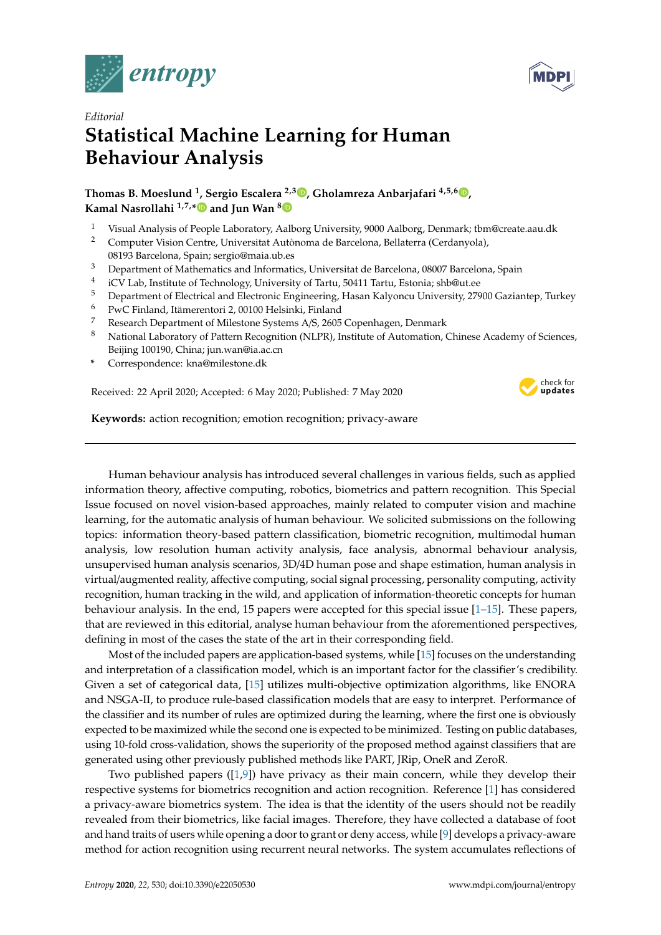



## *Editorial* **Statistical Machine Learning for Human Behaviour Analysis**

## **Thomas B. Moeslund <sup>1</sup> , Sergio Escalera 2,3 [,](https://orcid.org/0000-0003-0617-8873) Gholamreza Anbarjafari 4,5,6 [,](https://orcid.org/0000-0001-8460-5717) Kamal Nasrollahi 1,7,[\\*](https://orcid.org/0000-0002-1953-0429) and Jun Wan [8](https://orcid.org/0000-0002-4735-2885)**

- <sup>1</sup> Visual Analysis of People Laboratory, Aalborg University, 9000 Aalborg, Denmark; tbm@create.aau.dk<br><sup>2</sup> Commutes Vision Centre, University Aethnomy de Penedere, Pellsteins (Centrema)
- <sup>2</sup> Computer Vision Centre, Universitat Autònoma de Barcelona, Bellaterra (Cerdanyola),
- 08193 Barcelona, Spain; sergio@maia.ub.es
- <sup>3</sup> Department of Mathematics and Informatics, Universitat de Barcelona, 08007 Barcelona, Spain
- 4 iCV Lab, Institute of Technology, University of Tartu, 50411 Tartu, Estonia; shb@ut.ee
- <sup>5</sup> Department of Electrical and Electronic Engineering, Hasan Kalyoncu University, 27900 Gaziantep, Turkey
- <sup>6</sup> PwC Finland, Itämerentori 2, 00100 Helsinki, Finland
- <sup>7</sup> Research Department of Milestone Systems A/S, 2605 Copenhagen, Denmark
- <sup>8</sup> National Laboratory of Pattern Recognition (NLPR), Institute of Automation, Chinese Academy of Sciences, Beijing 100190, China; jun.wan@ia.ac.cn
- **\*** Correspondence: kna@milestone.dk

Received: 22 April 2020; Accepted: 6 May 2020; Published: 7 May 2020



**Keywords:** action recognition; emotion recognition; privacy-aware

Human behaviour analysis has introduced several challenges in various fields, such as applied information theory, affective computing, robotics, biometrics and pattern recognition. This Special Issue focused on novel vision-based approaches, mainly related to computer vision and machine learning, for the automatic analysis of human behaviour. We solicited submissions on the following topics: information theory-based pattern classification, biometric recognition, multimodal human analysis, low resolution human activity analysis, face analysis, abnormal behaviour analysis, unsupervised human analysis scenarios, 3D/4D human pose and shape estimation, human analysis in virtual/augmented reality, affective computing, social signal processing, personality computing, activity recognition, human tracking in the wild, and application of information-theoretic concepts for human behaviour analysis. In the end, 15 papers were accepted for this special issue [\[1](#page-2-0)[–15\]](#page-3-0). These papers, that are reviewed in this editorial, analyse human behaviour from the aforementioned perspectives, defining in most of the cases the state of the art in their corresponding field.

Most of the included papers are application-based systems, while [\[15\]](#page-3-0) focuses on the understanding and interpretation of a classification model, which is an important factor for the classifier's credibility. Given a set of categorical data, [\[15\]](#page-3-0) utilizes multi-objective optimization algorithms, like ENORA and NSGA-II, to produce rule-based classification models that are easy to interpret. Performance of the classifier and its number of rules are optimized during the learning, where the first one is obviously expected to be maximized while the second one is expected to be minimized. Testing on public databases, using 10-fold cross-validation, shows the superiority of the proposed method against classifiers that are generated using other previously published methods like PART, JRip, OneR and ZeroR.

Two published papers ([\[1,](#page-2-0)[9\]](#page-2-1)) have privacy as their main concern, while they develop their respective systems for biometrics recognition and action recognition. Reference [\[1\]](#page-2-0) has considered a privacy-aware biometrics system. The idea is that the identity of the users should not be readily revealed from their biometrics, like facial images. Therefore, they have collected a database of foot and hand traits of users while opening a door to grant or deny access, while [\[9\]](#page-2-1) develops a privacy-aware method for action recognition using recurrent neural networks. The system accumulates reflections of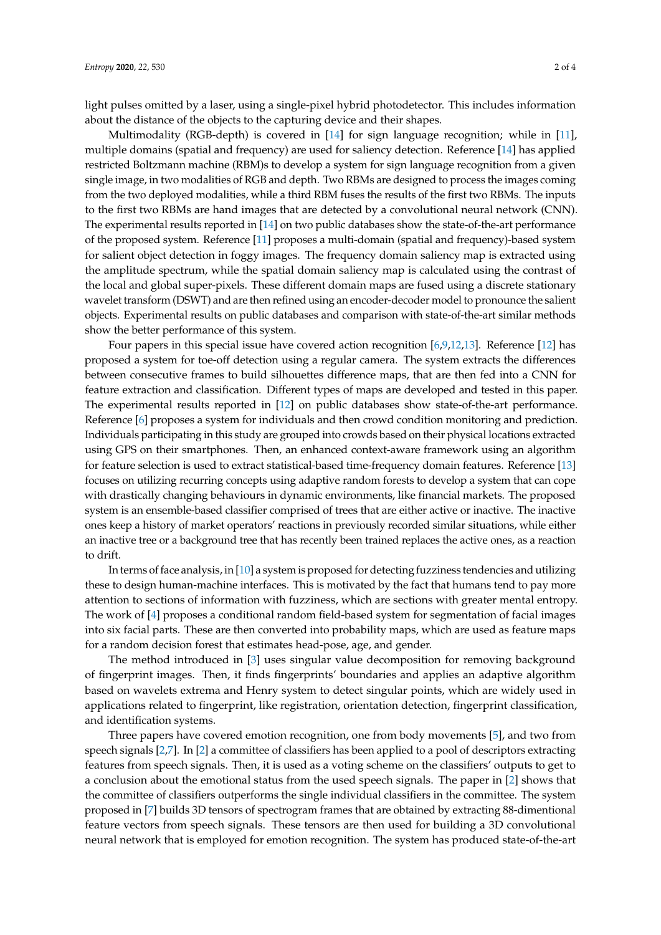light pulses omitted by a laser, using a single-pixel hybrid photodetector. This includes information about the distance of the objects to the capturing device and their shapes.

Multimodality (RGB-depth) is covered in [\[14\]](#page-3-1) for sign language recognition; while in [\[11\]](#page-2-2), multiple domains (spatial and frequency) are used for saliency detection. Reference [\[14\]](#page-3-1) has applied restricted Boltzmann machine (RBM)s to develop a system for sign language recognition from a given single image, in two modalities of RGB and depth. Two RBMs are designed to process the images coming from the two deployed modalities, while a third RBM fuses the results of the first two RBMs. The inputs to the first two RBMs are hand images that are detected by a convolutional neural network (CNN). The experimental results reported in [\[14\]](#page-3-1) on two public databases show the state-of-the-art performance of the proposed system. Reference [\[11\]](#page-2-2) proposes a multi-domain (spatial and frequency)-based system for salient object detection in foggy images. The frequency domain saliency map is extracted using the amplitude spectrum, while the spatial domain saliency map is calculated using the contrast of the local and global super-pixels. These different domain maps are fused using a discrete stationary wavelet transform (DSWT) and are then refined using an encoder-decoder model to pronounce the salient objects. Experimental results on public databases and comparison with state-of-the-art similar methods show the better performance of this system.

Four papers in this special issue have covered action recognition [\[6](#page-2-3)[,9](#page-2-1)[,12,](#page-2-4)[13\]](#page-2-5). Reference [\[12\]](#page-2-4) has proposed a system for toe-off detection using a regular camera. The system extracts the differences between consecutive frames to build silhouettes difference maps, that are then fed into a CNN for feature extraction and classification. Different types of maps are developed and tested in this paper. The experimental results reported in [\[12\]](#page-2-4) on public databases show state-of-the-art performance. Reference [\[6\]](#page-2-3) proposes a system for individuals and then crowd condition monitoring and prediction. Individuals participating in this study are grouped into crowds based on their physical locations extracted using GPS on their smartphones. Then, an enhanced context-aware framework using an algorithm for feature selection is used to extract statistical-based time-frequency domain features. Reference [\[13\]](#page-2-5) focuses on utilizing recurring concepts using adaptive random forests to develop a system that can cope with drastically changing behaviours in dynamic environments, like financial markets. The proposed system is an ensemble-based classifier comprised of trees that are either active or inactive. The inactive ones keep a history of market operators' reactions in previously recorded similar situations, while either an inactive tree or a background tree that has recently been trained replaces the active ones, as a reaction to drift.

In terms of face analysis, in [\[10\]](#page-2-6) a system is proposed for detecting fuzziness tendencies and utilizing these to design human-machine interfaces. This is motivated by the fact that humans tend to pay more attention to sections of information with fuzziness, which are sections with greater mental entropy. The work of [\[4\]](#page-2-7) proposes a conditional random field-based system for segmentation of facial images into six facial parts. These are then converted into probability maps, which are used as feature maps for a random decision forest that estimates head-pose, age, and gender.

The method introduced in [\[3\]](#page-2-8) uses singular value decomposition for removing background of fingerprint images. Then, it finds fingerprints' boundaries and applies an adaptive algorithm based on wavelets extrema and Henry system to detect singular points, which are widely used in applications related to fingerprint, like registration, orientation detection, fingerprint classification, and identification systems.

Three papers have covered emotion recognition, one from body movements [\[5\]](#page-2-9), and two from speech signals [\[2,](#page-2-10)[7\]](#page-2-11). In [\[2\]](#page-2-10) a committee of classifiers has been applied to a pool of descriptors extracting features from speech signals. Then, it is used as a voting scheme on the classifiers' outputs to get to a conclusion about the emotional status from the used speech signals. The paper in [\[2\]](#page-2-10) shows that the committee of classifiers outperforms the single individual classifiers in the committee. The system proposed in [\[7\]](#page-2-11) builds 3D tensors of spectrogram frames that are obtained by extracting 88-dimentional feature vectors from speech signals. These tensors are then used for building a 3D convolutional neural network that is employed for emotion recognition. The system has produced state-of-the-art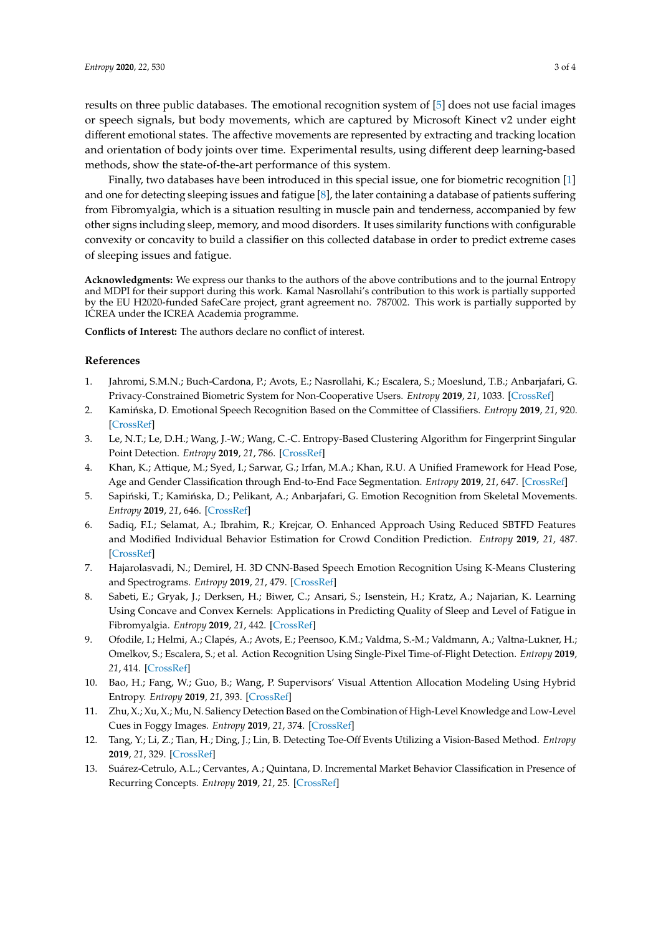results on three public databases. The emotional recognition system of [\[5\]](#page-2-9) does not use facial images or speech signals, but body movements, which are captured by Microsoft Kinect v2 under eight different emotional states. The affective movements are represented by extracting and tracking location and orientation of body joints over time. Experimental results, using different deep learning-based methods, show the state-of-the-art performance of this system.

Finally, two databases have been introduced in this special issue, one for biometric recognition [\[1\]](#page-2-0) and one for detecting sleeping issues and fatigue [\[8\]](#page-2-12), the later containing a database of patients suffering from Fibromyalgia, which is a situation resulting in muscle pain and tenderness, accompanied by few other signs including sleep, memory, and mood disorders. It uses similarity functions with configurable convexity or concavity to build a classifier on this collected database in order to predict extreme cases of sleeping issues and fatigue.

**Acknowledgments:** We express our thanks to the authors of the above contributions and to the journal Entropy and MDPI for their support during this work. Kamal Nasrollahi's contribution to this work is partially supported by the EU H2020-funded SafeCare project, grant agreement no. 787002. This work is partially supported by ICREA under the ICREA Academia programme.

**Conflicts of Interest:** The authors declare no conflict of interest.

## **References**

- <span id="page-2-0"></span>1. Jahromi, S.M.N.; Buch-Cardona, P.; Avots, E.; Nasrollahi, K.; Escalera, S.; Moeslund, T.B.; Anbarjafari, G. Privacy-Constrained Biometric System for Non-Cooperative Users. *Entropy* **2019**, *21*, 1033. [\[CrossRef\]](http://dx.doi.org/10.3390/e21111033)
- <span id="page-2-10"></span>2. Kamińska, D. Emotional Speech Recognition Based on the Committee of Classifiers. *Entropy* 2019, 21, 920. [\[CrossRef\]](http://dx.doi.org/10.3390/e21100920)
- <span id="page-2-8"></span>3. Le, N.T.; Le, D.H.; Wang, J.-W.; Wang, C.-C. Entropy-Based Clustering Algorithm for Fingerprint Singular Point Detection. *Entropy* **2019**, *21*, 786. [\[CrossRef\]](http://dx.doi.org/10.3390/e21080786)
- <span id="page-2-7"></span>4. Khan, K.; Attique, M.; Syed, I.; Sarwar, G.; Irfan, M.A.; Khan, R.U. A Unified Framework for Head Pose, Age and Gender Classification through End-to-End Face Segmentation. *Entropy* **2019**, *21*, 647. [\[CrossRef\]](http://dx.doi.org/10.3390/e21070647)
- <span id="page-2-9"></span>5. Sapiński, T.; Kamińska, D.; Pelikant, A.; Anbarjafari, G. Emotion Recognition from Skeletal Movements. *Entropy* **2019**, *21*, 646. [\[CrossRef\]](http://dx.doi.org/10.3390/e21070646)
- <span id="page-2-3"></span>6. Sadiq, F.I.; Selamat, A.; Ibrahim, R.; Krejcar, O. Enhanced Approach Using Reduced SBTFD Features and Modified Individual Behavior Estimation for Crowd Condition Prediction. *Entropy* **2019**, *21*, 487. [\[CrossRef\]](http://dx.doi.org/10.3390/e21050487)
- <span id="page-2-11"></span>7. Hajarolasvadi, N.; Demirel, H. 3D CNN-Based Speech Emotion Recognition Using K-Means Clustering and Spectrograms. *Entropy* **2019**, *21*, 479. [\[CrossRef\]](http://dx.doi.org/10.3390/e21050479)
- <span id="page-2-12"></span>8. Sabeti, E.; Gryak, J.; Derksen, H.; Biwer, C.; Ansari, S.; Isenstein, H.; Kratz, A.; Najarian, K. Learning Using Concave and Convex Kernels: Applications in Predicting Quality of Sleep and Level of Fatigue in Fibromyalgia. *Entropy* **2019**, *21*, 442. [\[CrossRef\]](http://dx.doi.org/10.3390/e21050442)
- <span id="page-2-1"></span>9. Ofodile, I.; Helmi, A.; Clapés, A.; Avots, E.; Peensoo, K.M.; Valdma, S.-M.; Valdmann, A.; Valtna-Lukner, H.; Omelkov, S.; Escalera, S.; et al. Action Recognition Using Single-Pixel Time-of-Flight Detection. *Entropy* **2019**, *21*, 414. [\[CrossRef\]](http://dx.doi.org/10.3390/e21040414)
- <span id="page-2-6"></span>10. Bao, H.; Fang, W.; Guo, B.; Wang, P. Supervisors' Visual Attention Allocation Modeling Using Hybrid Entropy. *Entropy* **2019**, *21*, 393. [\[CrossRef\]](http://dx.doi.org/10.3390/e21040393)
- <span id="page-2-2"></span>11. Zhu, X.; Xu, X.; Mu, N. Saliency Detection Based on the Combination of High-Level Knowledge and Low-Level Cues in Foggy Images. *Entropy* **2019**, *21*, 374. [\[CrossRef\]](http://dx.doi.org/10.3390/e21040374)
- <span id="page-2-4"></span>12. Tang, Y.; Li, Z.; Tian, H.; Ding, J.; Lin, B. Detecting Toe-Off Events Utilizing a Vision-Based Method. *Entropy* **2019**, *21*, 329. [\[CrossRef\]](http://dx.doi.org/10.3390/e21040329)
- <span id="page-2-5"></span>13. Suárez-Cetrulo, A.L.; Cervantes, A.; Quintana, D. Incremental Market Behavior Classification in Presence of Recurring Concepts. *Entropy* **2019**, *21*, 25. [\[CrossRef\]](http://dx.doi.org/10.3390/e21010025)